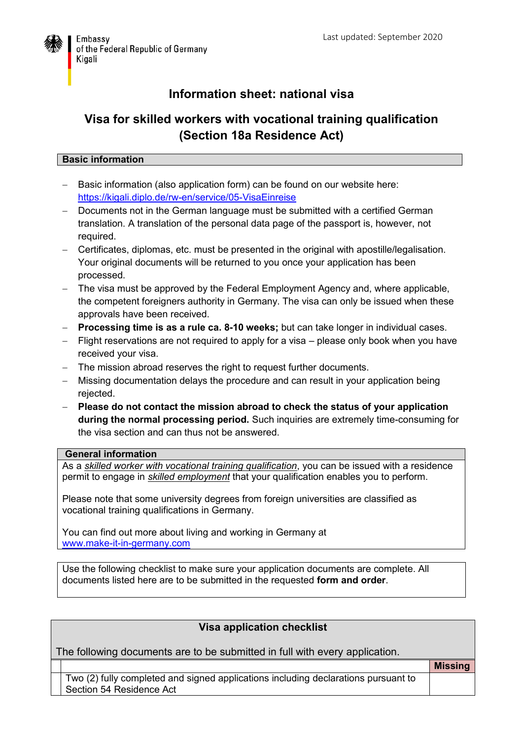

# **Information sheet: national visa**

# **Visa for skilled workers with vocational training qualification (Section 18a Residence Act)**

### **Basic information**

- Basic information (also application form) can be found on our website here: <https://kigali.diplo.de/rw-en/service/05-VisaEinreise>
- Documents not in the German language must be submitted with a certified German translation. A translation of the personal data page of the passport is, however, not required.
- Certificates, diplomas, etc. must be presented in the original with apostille/legalisation. Your original documents will be returned to you once your application has been processed.
- The visa must be approved by the Federal Employment Agency and, where applicable, the competent foreigners authority in Germany. The visa can only be issued when these approvals have been received.
- **Processing time is as a rule ca. 8-10 weeks;** but can take longer in individual cases.
- Flight reservations are not required to apply for a visa please only book when you have received your visa.
- The mission abroad reserves the right to request further documents.
- Missing documentation delays the procedure and can result in your application being rejected.
- **Please do not contact the mission abroad to check the status of your application during the normal processing period.** Such inquiries are extremely time-consuming for the visa section and can thus not be answered.

#### **General information**

As a *skilled worker with vocational training qualification*, you can be issued with a residence permit to engage in *skilled employment* that your qualification enables you to perform.

Please note that some university degrees from foreign universities are classified as vocational training qualifications in Germany.

You can find out more about living and working in Germany at [www.make-it-in-germany.com](http://www.make-it-in-germany.com./)

Use the following checklist to make sure your application documents are complete. All documents listed here are to be submitted in the requested **form and order**.

### **Visa application checklist**

The following documents are to be submitted in full with every application.

Two (2) fully completed and signed applications including declarations pursuant to Section 54 Residence Act

**Missing**